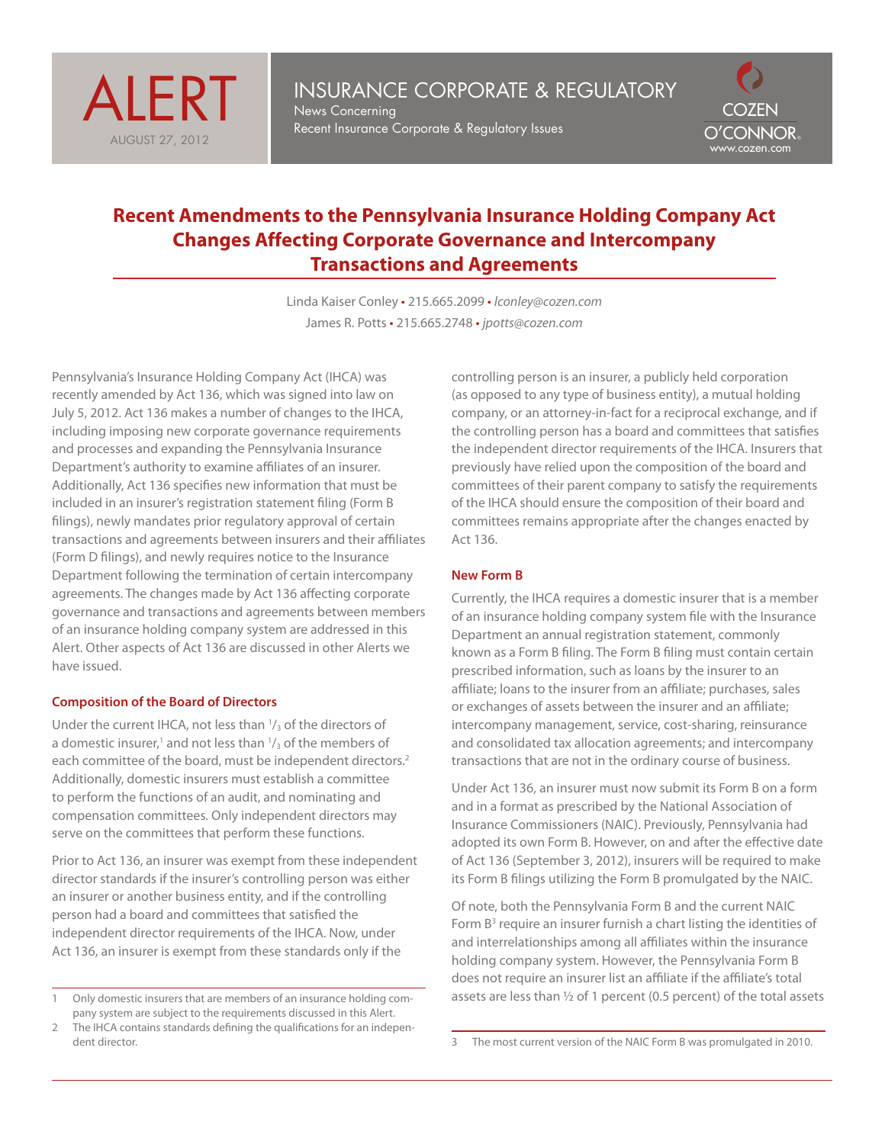



# **Recent Amendments to the Pennsylvania Insurance Holding Company Act Changes Affecting Corporate Governance and Intercompany Transactions and Agreements**

Linda Kaiser Conley • 215.665.2099 • *lconley@cozen.com* James R. Potts • 215.665.2748 • *jpotts@cozen.com* 

Pennsylvania's Insurance Holding Company Act (IHCA) was recently amended by Act 136, which was signed into law on July 5, 2012. Act 136 makes a number of changes to the IHCA, including imposing new corporate governance requirements and processes and expanding the Pennsylvania Insurance Department's authority to examine affiliates of an insurer. Additionally, Act 136 specifies new information that must be included in an insurer's registration statement filing (Form B filings), newly mandates prior regulatory approval of certain transactions and agreements between insurers and their affiliates (Form D filings), and newly requires notice to the Insurance Department following the termination of certain intercompany agreements. The changes made by Act 136 affecting corporate governance and transactions and agreements between members of an insurance holding company system are addressed in this Alert. Other aspects of Act 136 are discussed in other Alerts we have issued.

#### **Composition of the Board of Directors**

Under the current IHCA, not less than  $\frac{1}{3}$  of the directors of a domestic insurer,<sup>1</sup> and not less than  $\frac{1}{3}$  of the members of each committee of the board, must be independent directors.<sup>2</sup> Additionally, domestic insurers must establish a committee to perform the functions of an audit, and nominating and compensation committees. Only independent directors may serve on the committees that perform these functions.

Prior to Act 136, an insurer was exempt from these independent director standards if the insurer's controlling person was either an insurer or another business entity, and if the controlling person had a board and committees that satisfied the independent director requirements of the IHCA. Now, under Act 136, an insurer is exempt from these standards only if the

- 1 Only domestic insurers that are members of an insurance holding company system are subject to the requirements discussed in this Alert.
- 2 The IHCA contains standards defining the qualifications for an independent director.

controlling person is an insurer, a publicly held corporation (as opposed to any type of business entity), a mutual holding company, or an attorney-in-fact for a reciprocal exchange, and if the controlling person has a board and committees that satisfies the independent director requirements of the IHCA. Insurers that previously have relied upon the composition of the board and committees of their parent company to satisfy the requirements of the IHCA should ensure the composition of their board and committees remains appropriate after the changes enacted by Act 136.

## **New Form B**

Currently, the IHCA requires a domestic insurer that is a member of an insurance holding company system file with the Insurance Department an annual registration statement, commonly known as a Form B filing. The Form B filing must contain certain prescribed information, such as loans by the insurer to an affiliate; loans to the insurer from an affiliate; purchases, sales or exchanges of assets between the insurer and an affiliate; intercompany management, service, cost-sharing, reinsurance and consolidated tax allocation agreements; and intercompany transactions that are not in the ordinary course of business.

Under Act 136, an insurer must now submit its Form B on a form and in a format as prescribed by the National Association of Insurance Commissioners (NAIC). Previously, Pennsylvania had adopted its own Form B. However, on and after the effective date of Act 136 (September 3, 2012), insurers will be required to make its Form B filings utilizing the Form B promulgated by the NAIC.

Of note, both the Pennsylvania Form B and the current NAIC Form  $B<sup>3</sup>$  require an insurer furnish a chart listing the identities of and interrelationships among all affiliates within the insurance holding company system. However, the Pennsylvania Form B does not require an insurer list an affiliate if the affiliate's total assets are less than ½ of 1 percent (0.5 percent) of the total assets

<sup>3</sup> The most current version of the NAIC Form B was promulgated in 2010.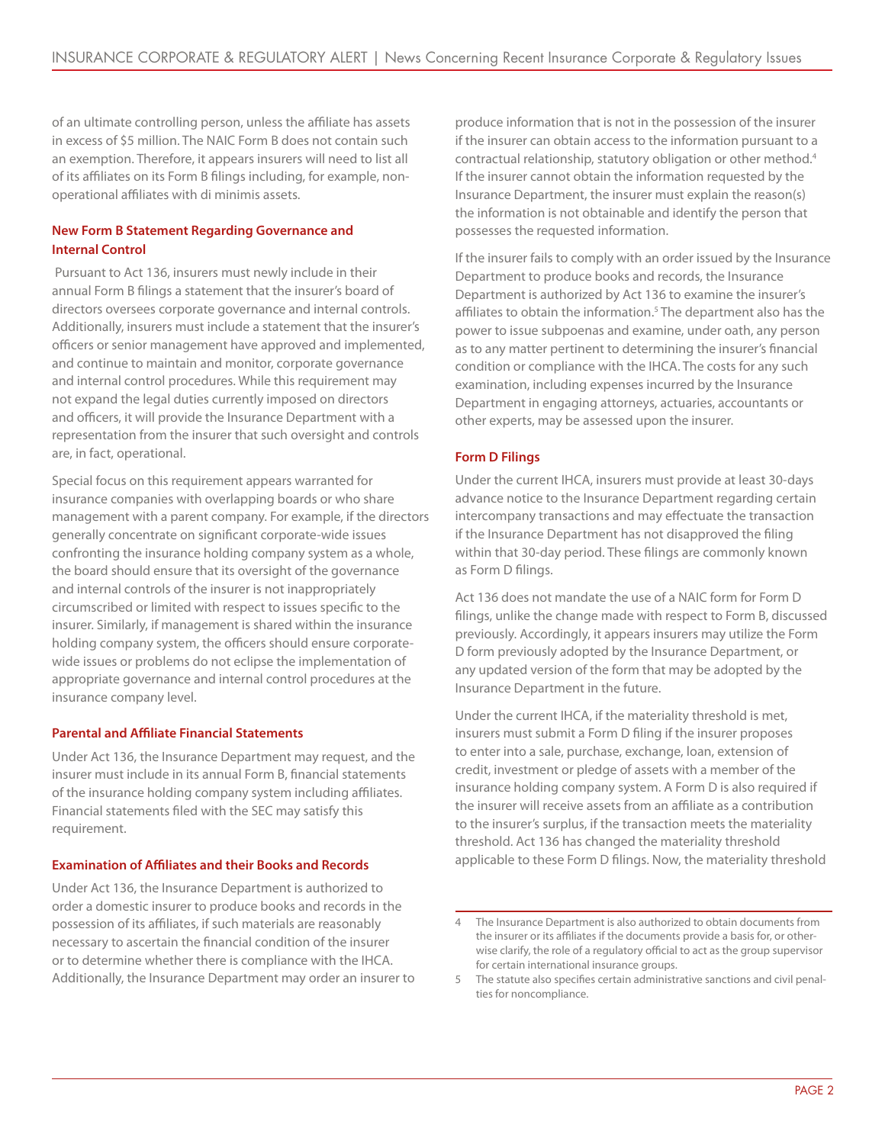of an ultimate controlling person, unless the affiliate has assets in excess of \$5 million. The NAIC Form B does not contain such an exemption. Therefore, it appears insurers will need to list all of its affiliates on its Form B filings including, for example, nonoperational affiliates with di minimis assets.

## **New Form B Statement Regarding Governance and Internal Control**

 Pursuant to Act 136, insurers must newly include in their annual Form B filings a statement that the insurer's board of directors oversees corporate governance and internal controls. Additionally, insurers must include a statement that the insurer's officers or senior management have approved and implemented, and continue to maintain and monitor, corporate governance and internal control procedures. While this requirement may not expand the legal duties currently imposed on directors and officers, it will provide the Insurance Department with a representation from the insurer that such oversight and controls are, in fact, operational.

Special focus on this requirement appears warranted for insurance companies with overlapping boards or who share management with a parent company. For example, if the directors generally concentrate on significant corporate-wide issues confronting the insurance holding company system as a whole, the board should ensure that its oversight of the governance and internal controls of the insurer is not inappropriately circumscribed or limited with respect to issues specific to the insurer. Similarly, if management is shared within the insurance holding company system, the officers should ensure corporatewide issues or problems do not eclipse the implementation of appropriate governance and internal control procedures at the insurance company level.

## **Parental and Affiliate Financial Statements**

Under Act 136, the Insurance Department may request, and the insurer must include in its annual Form B, financial statements of the insurance holding company system including affiliates. Financial statements filed with the SEC may satisfy this requirement.

## **Examination of Affiliates and their Books and Records**

Under Act 136, the Insurance Department is authorized to order a domestic insurer to produce books and records in the possession of its affiliates, if such materials are reasonably necessary to ascertain the financial condition of the insurer or to determine whether there is compliance with the IHCA. Additionally, the Insurance Department may order an insurer to produce information that is not in the possession of the insurer if the insurer can obtain access to the information pursuant to a contractual relationship, statutory obligation or other method.4 If the insurer cannot obtain the information requested by the Insurance Department, the insurer must explain the reason(s) the information is not obtainable and identify the person that possesses the requested information.

If the insurer fails to comply with an order issued by the Insurance Department to produce books and records, the Insurance Department is authorized by Act 136 to examine the insurer's affiliates to obtain the information.<sup>5</sup> The department also has the power to issue subpoenas and examine, under oath, any person as to any matter pertinent to determining the insurer's financial condition or compliance with the IHCA. The costs for any such examination, including expenses incurred by the Insurance Department in engaging attorneys, actuaries, accountants or other experts, may be assessed upon the insurer.

## **Form D Filings**

Under the current IHCA, insurers must provide at least 30-days advance notice to the Insurance Department regarding certain intercompany transactions and may effectuate the transaction if the Insurance Department has not disapproved the filing within that 30-day period. These filings are commonly known as Form D filings.

Act 136 does not mandate the use of a NAIC form for Form D filings, unlike the change made with respect to Form B, discussed previously. Accordingly, it appears insurers may utilize the Form D form previously adopted by the Insurance Department, or any updated version of the form that may be adopted by the Insurance Department in the future.

Under the current IHCA, if the materiality threshold is met, insurers must submit a Form D filing if the insurer proposes to enter into a sale, purchase, exchange, loan, extension of credit, investment or pledge of assets with a member of the insurance holding company system. A Form D is also required if the insurer will receive assets from an affiliate as a contribution to the insurer's surplus, if the transaction meets the materiality threshold. Act 136 has changed the materiality threshold applicable to these Form D filings. Now, the materiality threshold

The Insurance Department is also authorized to obtain documents from the insurer or its affiliates if the documents provide a basis for, or otherwise clarify, the role of a regulatory official to act as the group supervisor for certain international insurance groups.

<sup>5</sup> The statute also specifies certain administrative sanctions and civil penalties for noncompliance.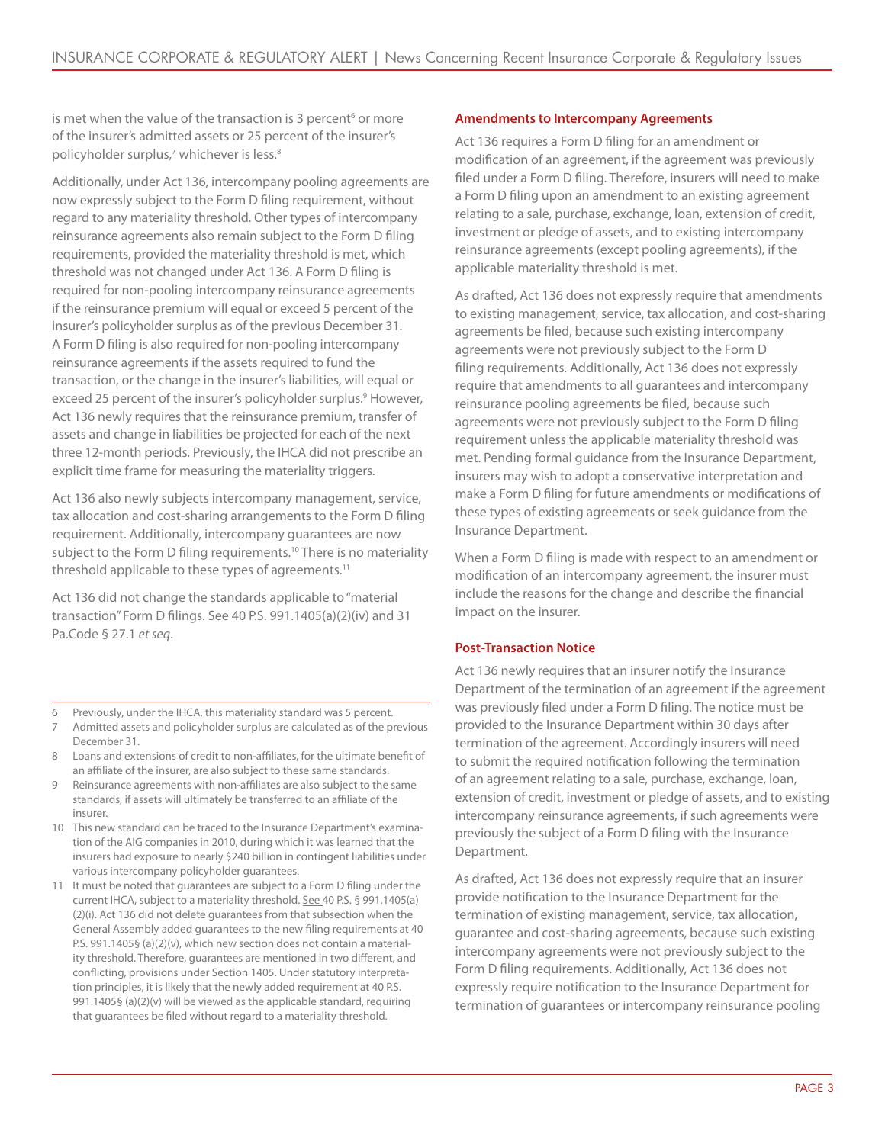is met when the value of the transaction is 3 percent<sup>6</sup> or more of the insurer's admitted assets or 25 percent of the insurer's policyholder surplus,<sup>7</sup> whichever is less.<sup>8</sup>

Additionally, under Act 136, intercompany pooling agreements are now expressly subject to the Form D filing requirement, without regard to any materiality threshold. Other types of intercompany reinsurance agreements also remain subject to the Form D filing requirements, provided the materiality threshold is met, which threshold was not changed under Act 136. A Form D filing is required for non-pooling intercompany reinsurance agreements if the reinsurance premium will equal or exceed 5 percent of the insurer's policyholder surplus as of the previous December 31. A Form D filing is also required for non-pooling intercompany reinsurance agreements if the assets required to fund the transaction, or the change in the insurer's liabilities, will equal or exceed 25 percent of the insurer's policyholder surplus.<sup>9</sup> However, Act 136 newly requires that the reinsurance premium, transfer of assets and change in liabilities be projected for each of the next three 12-month periods. Previously, the IHCA did not prescribe an explicit time frame for measuring the materiality triggers.

Act 136 also newly subjects intercompany management, service, tax allocation and cost-sharing arrangements to the Form D filing requirement. Additionally, intercompany guarantees are now subject to the Form D filing requirements.<sup>10</sup> There is no materiality threshold applicable to these types of agreements.<sup>11</sup>

Act 136 did not change the standards applicable to "material transaction" Form D filings. See 40 P.S. 991.1405(a)(2)(iv) and 31 Pa.Code § 27.1 *et seq*.

- 6 Previously, under the IHCA, this materiality standard was 5 percent.
- 7 Admitted assets and policyholder surplus are calculated as of the previous December 31.
- 8 Loans and extensions of credit to non-affiliates, for the ultimate benefit of an affiliate of the insurer, are also subject to these same standards.
- Reinsurance agreements with non-affiliates are also subject to the same standards, if assets will ultimately be transferred to an affiliate of the insurer.
- 10 This new standard can be traced to the Insurance Department's examination of the AIG companies in 2010, during which it was learned that the insurers had exposure to nearly \$240 billion in contingent liabilities under various intercompany policyholder guarantees.
- 11 It must be noted that guarantees are subject to a Form D filing under the current IHCA, subject to a materiality threshold. See 40 P.S. § 991.1405(a) (2)(i). Act 136 did not delete guarantees from that subsection when the General Assembly added guarantees to the new filing requirements at 40 P.S. 991.1405§ (a)(2)(v), which new section does not contain a materiality threshold. Therefore, guarantees are mentioned in two different, and conflicting, provisions under Section 1405. Under statutory interpretation principles, it is likely that the newly added requirement at 40 P.S. 991.1405§ (a)(2)(v) will be viewed as the applicable standard, requiring that guarantees be filed without regard to a materiality threshold.

## **Amendments to Intercompany Agreements**

Act 136 requires a Form D filing for an amendment or modification of an agreement, if the agreement was previously filed under a Form D filing. Therefore, insurers will need to make a Form D filing upon an amendment to an existing agreement relating to a sale, purchase, exchange, loan, extension of credit, investment or pledge of assets, and to existing intercompany reinsurance agreements (except pooling agreements), if the applicable materiality threshold is met.

As drafted, Act 136 does not expressly require that amendments to existing management, service, tax allocation, and cost-sharing agreements be filed, because such existing intercompany agreements were not previously subject to the Form D filing requirements. Additionally, Act 136 does not expressly require that amendments to all guarantees and intercompany reinsurance pooling agreements be filed, because such agreements were not previously subject to the Form D filing requirement unless the applicable materiality threshold was met. Pending formal guidance from the Insurance Department, insurers may wish to adopt a conservative interpretation and make a Form D filing for future amendments or modifications of these types of existing agreements or seek guidance from the Insurance Department.

When a Form D filing is made with respect to an amendment or modification of an intercompany agreement, the insurer must include the reasons for the change and describe the financial impact on the insurer.

## **Post-Transaction Notice**

Act 136 newly requires that an insurer notify the Insurance Department of the termination of an agreement if the agreement was previously filed under a Form D filing. The notice must be provided to the Insurance Department within 30 days after termination of the agreement. Accordingly insurers will need to submit the required notification following the termination of an agreement relating to a sale, purchase, exchange, loan, extension of credit, investment or pledge of assets, and to existing intercompany reinsurance agreements, if such agreements were previously the subject of a Form D filing with the Insurance Department.

As drafted, Act 136 does not expressly require that an insurer provide notification to the Insurance Department for the termination of existing management, service, tax allocation, guarantee and cost-sharing agreements, because such existing intercompany agreements were not previously subject to the Form D filing requirements. Additionally, Act 136 does not expressly require notification to the Insurance Department for termination of guarantees or intercompany reinsurance pooling